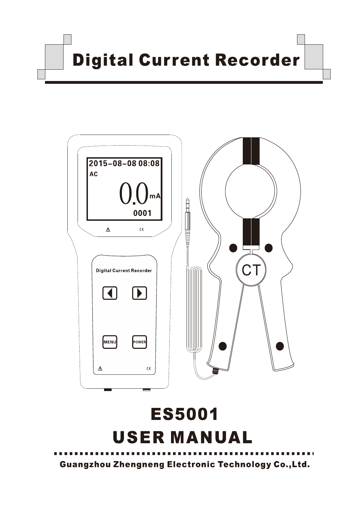**Digital Current Recorder** 



# **ES5001 USER MANUAL**

**Guangzhou Zhengneng Electronic Technology Co., Ltd.**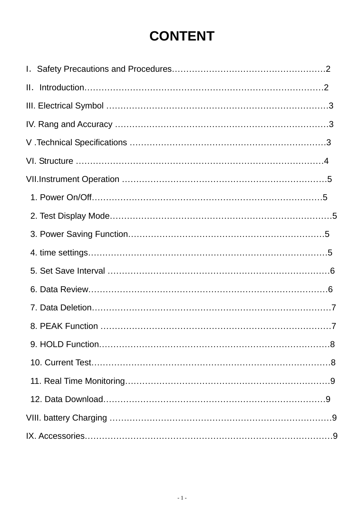# **CONTENT**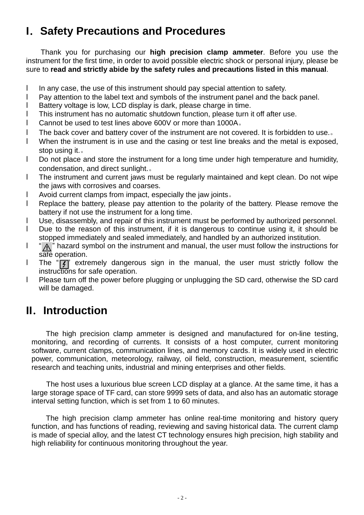# **I.Safety Precautions and Procedures**

Thank you for purchasing our **high precision clamp ammeter**. Before you use the instrument for the first time, in order to avoid possible electric shock or personal injury, please be sure to **read and strictly abide by the safety rules and precautions listed in this manual**.

- I In any case, the use of this instrument should pay special attention to safety.
- l Pay attention to the label text and symbols of the instrument panel and the back panel.
- l Battery voltage is low, LCD display is dark, please charge in time.
- l This instrument has no automatic shutdown function, please turn it off after use.
- l Cannot be used to test lines above 600V or more than 1000A。
- l The back cover and battery cover of the instrument are not covered. It is forbidden to use.。
- l When the instrument is in use and the casing or test line breaks and the metal is exposed, stop using it.。
- l Do not place and store the instrument for a long time under high temperature and humidity, condensation, and direct sunlight.。
- l The instrument and current jaws must be regularly maintained and kept clean. Do not wipe the jaws with corrosives and coarses.
- l Avoid current clamps from impact, especially the jaw joints。
- l Replace the battery, please pay attention to the polarity of the battery. Please remove the battery if not use the instrument for a long time.
- l Use, disassembly, and repair of this instrument must be performed by authorized personnel.
- l Due to the reason of this instrument, if it is dangerous to continue using it, it should be stopped immediately and sealed immediately, and handled by an authorized institution.
- $\mathsf{I}$  "  $\wedge$ " hazard symbol on the instrument and manual, the user must follow the instructions for safe operation.
- I The " $\boxed{7}$ " extremely dangerous sign in the manual, the user must strictly follow the instructions for safe operation.
- l Please turn off the power before plugging or unplugging the SD card, otherwise the SD card will be damaged.

# **II.Introduction**

The high precision clamp ammeter is designed and manufactured for on-line testing, monitoring, and recording of currents. It consists of a host computer, current monitoring software, current clamps, communication lines, and memory cards. It is widely used in electric power, communication, meteorology, railway, oil field, construction, measurement, scientific research and teaching units, industrial and mining enterprises and other fields.

The host uses a luxurious blue screen LCD display at a glance. At the same time, it has a large storage space of TF card, can store 9999 sets of data, and also has an automatic storage interval setting function, which is set from 1 to 60 minutes.

The high precision clamp ammeter has online real-time monitoring and history query function, and has functions of reading, reviewing and saving historical data. The current clamp is made of special alloy, and the latest CT technology ensures high precision, high stability and high reliability for continuous monitoring throughout the year.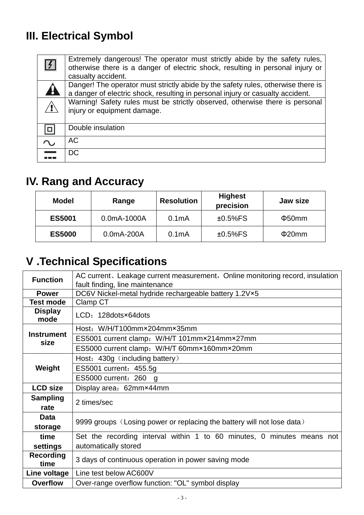# **III. Electrical Symbol**

| f | Extremely dangerous! The operator must strictly abide by the safety rules,<br>otherwise there is a danger of electric shock, resulting in personal injury or<br>casualty accident. |
|---|------------------------------------------------------------------------------------------------------------------------------------------------------------------------------------|
| H | Danger! The operator must strictly abide by the safety rules, otherwise there is<br>a danger of electric shock, resulting in personal injury or casualty accident.                 |
|   | Warning! Safety rules must be strictly observed, otherwise there is personal<br>injury or equipment damage.                                                                        |
|   | Double insulation                                                                                                                                                                  |
|   | AC.                                                                                                                                                                                |
|   | DC.                                                                                                                                                                                |

# **IV. Rang and Accuracy**

| <b>Model</b>  | Range        | <b>Resolution</b>  | <b>Highest</b><br>precision | Jaw size    |
|---------------|--------------|--------------------|-----------------------------|-------------|
| <b>ES5001</b> | 0.0mA-1000A  | 0.1 <sub>m</sub> A | $±0.5\%FS$                  | $\Phi$ 50mm |
| <b>ES5000</b> | $0.0mA-200A$ | 0.1 <sub>m</sub> A | $±0.5\%FS$                  | $\Phi$ 20mm |

# **V .Technical Specifications**

| <b>Function</b>           | AC current, Leakage current measurement, Online monitoring record, insulation |  |  |  |  |
|---------------------------|-------------------------------------------------------------------------------|--|--|--|--|
|                           | fault finding, line maintenance                                               |  |  |  |  |
| <b>Power</b>              | DC6V Nickel-metal hydride rechargeable battery 1.2V×5                         |  |  |  |  |
| <b>Test mode</b>          | Clamp CT                                                                      |  |  |  |  |
| <b>Display</b><br>mode    | LCD: 128 dots × 64 dots                                                       |  |  |  |  |
|                           | Host: W/H/T100mm×204mm×35mm                                                   |  |  |  |  |
| <b>Instrument</b><br>size | ES5001 current clamp: W/H/T 101mm×214mm×27mm                                  |  |  |  |  |
|                           | ES5000 current clamp: W/H/T 60mm×160mm×20mm                                   |  |  |  |  |
|                           | Host: 430g (including battery)                                                |  |  |  |  |
| Weight                    | ES5001 current: 455.5g                                                        |  |  |  |  |
|                           | ES5000 current: 260 g                                                         |  |  |  |  |
| <b>LCD size</b>           | Display area: 62mm×44mm                                                       |  |  |  |  |
| <b>Sampling</b>           | 2 times/sec                                                                   |  |  |  |  |
| rate                      |                                                                               |  |  |  |  |
| <b>Data</b>               |                                                                               |  |  |  |  |
| storage                   | 9999 groups (Losing power or replacing the battery will not lose data)        |  |  |  |  |
| time                      | Set the recording interval within 1 to 60 minutes, 0 minutes means not        |  |  |  |  |
| settings                  | automatically stored                                                          |  |  |  |  |
| <b>Recording</b>          | 3 days of continuous operation in power saving mode                           |  |  |  |  |
| time                      |                                                                               |  |  |  |  |
| Line voltage              | Line test below AC600V                                                        |  |  |  |  |
| <b>Overflow</b>           | Over-range overflow function: "OL" symbol display                             |  |  |  |  |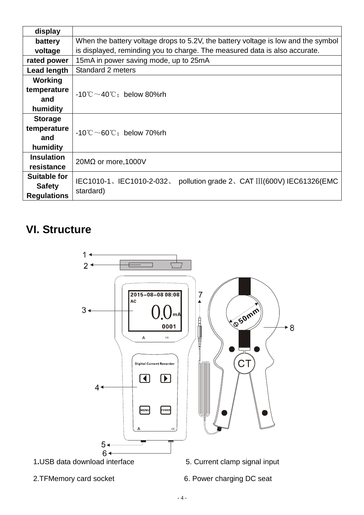| display             |                                                                                   |  |  |  |
|---------------------|-----------------------------------------------------------------------------------|--|--|--|
| battery             | When the battery voltage drops to 5.2V, the battery voltage is low and the symbol |  |  |  |
| voltage             | is displayed, reminding you to charge. The measured data is also accurate.        |  |  |  |
| rated power         | 15mA in power saving mode, up to 25mA                                             |  |  |  |
| <b>Lead length</b>  | Standard 2 meters                                                                 |  |  |  |
| <b>Working</b>      |                                                                                   |  |  |  |
| temperature         | $-10^{\circ}$ C ~40 $^{\circ}$ C : below 80%rh                                    |  |  |  |
| and                 |                                                                                   |  |  |  |
| humidity            |                                                                                   |  |  |  |
| <b>Storage</b>      |                                                                                   |  |  |  |
| temperature         | $-10^{\circ}$ C ~60 $^{\circ}$ C: below 70%rh                                     |  |  |  |
| and                 |                                                                                   |  |  |  |
| humidity            |                                                                                   |  |  |  |
| <b>Insulation</b>   | 20M $\Omega$ or more, 1000V                                                       |  |  |  |
| resistance          |                                                                                   |  |  |  |
| <b>Suitable for</b> | IEC1010-1、IEC1010-2-032、<br>pollution grade 2, CAT III(600V) IEC61326(EMC         |  |  |  |
| <b>Safety</b>       | stardard)                                                                         |  |  |  |
| <b>Regulations</b>  |                                                                                   |  |  |  |

# **VI. Structure**



- 
- 2.TFMemory card socket 6. Power charging DC seat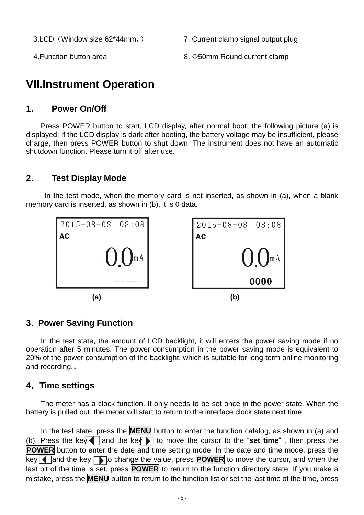3.LCD(Window size 62\*44mm,) 7. Current clamp signal output plug

4. Function button area **8. Φ50mm Round current clamp** 

# **VII.Instrument Operation**

#### **1. Power On/Off**

Press POWER button to start, LCD display, after normal boot, the following picture (a) is displayed: If the LCD display is dark after booting, the battery voltage may be insufficient, please charge, then press POWER button to shut down. The instrument does not have an automatic shutdown function. Please turn it off after use.

#### **2. Test Display Mode**

In the test mode, when the memory card is not inserted, as shown in (a), when a blank memory card is inserted, as shown in (b), it is 0 data.



#### **3.Power Saving Function**

In the test state, the amount of LCD backlight, it will enters the power saving mode if no operation after 5 minutes. The power consumption in the power saving mode is equivalent to 20% of the power consumption of the backlight, which is suitable for long-term online monitoring and recording.。

#### **4.Time settings**

The meter has a clock function. It only needs to be set once in the power state. When the battery is pulled out, the meter will start to return to the interface clock state next time.

In the test state, press the **MENU** button to enter the function catalog, as shown in (a) and (b). Press the key and the key ito move the cursor to the "**set time**", then press the **POWER** button to enter the date and time setting mode. In the date and time mode, press the key **I** and the key  $\Gamma$  to change the value, press **POWER** to move the cursor, and when the last bit of the time is set, press **POWER** to return to the function directory state. If you make a mistake, press the **MENU** button to return to the function list or set the last time of the time, press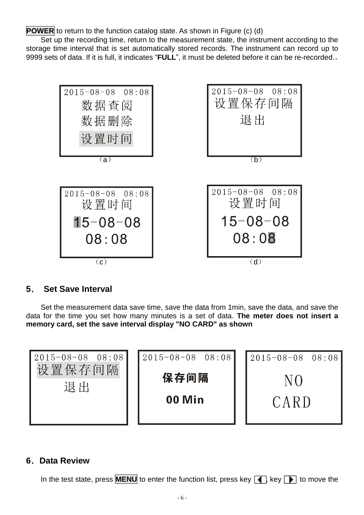**POWER** to return to the function catalog state. As shown in Figure (c) (d)

Set up the recording time, return to the measurement state, the instrument according to the storage time interval that is set automatically stored records. The instrument can record up to 9999 sets of data. If it is full, it indicates "**FULL**", it must be deleted before it can be re-recorded.。



#### **5. Set Save Interval**

Set the measurement data save time, save the data from 1min, save the data, and save the data for the time you set how many minutes is a set of data. **The meter does not insert a memory card, set the save interval display "NO CARD" as shown** 



#### **6.Data Review**

In the test state, press **MENU** to enter the function list, press key  $\boxed{\blacktriangle}$ , key  $\boxed{\blacktriangleright}$  to move the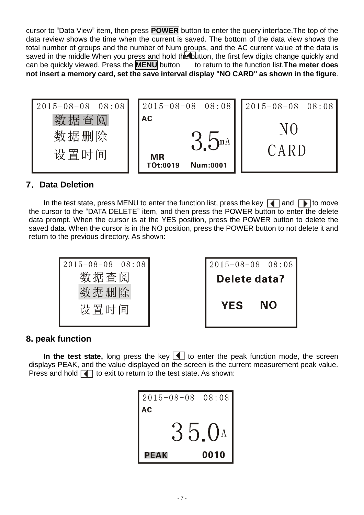cursor to "Data View" item, then press **POWER** button to enter the query interface.The top of the data review shows the time when the current is saved. The bottom of the data view shows the total number of groups and the number of Num groups, and the AC current value of the data is saved in the middle. When you press and hold the button, the first few digits change quickly and can be quickly viewed. Press the **MENU** button to return to the function list. The meter does can be quickly viewed. Press the **MENU** button **not insert a memory card, set the save interval display "NO CARD" as shown in the figure**.



#### **7.Data Deletion**

In the test state, press MENU to enter the function list, press the key  $\Box$  and  $\Box$  to move the cursor to the "DATA DELETE" item, and then press the POWER button to enter the delete data prompt. When the cursor is at the YES position, press the POWER button to delete the saved data. When the cursor is in the NO position, press the POWER button to not delete it and return to the previous directory. As shown:



#### **8. peak function**

**In the test state,** long press the key  $\blacksquare$  to enter the peak function mode, the screen displays PEAK, and the value displayed on the screen is the current measurement peak value. Press and hold  $\blacksquare$  to exit to return to the test state. As shown:

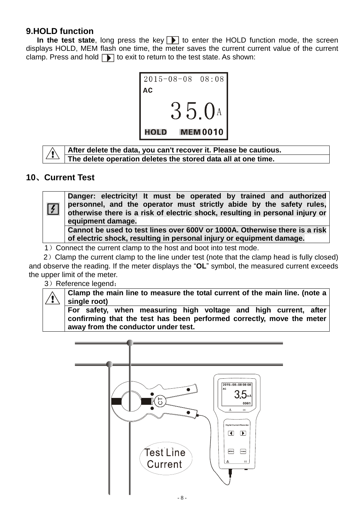#### **9.HOLD function**

**In the test state**, long press the key  $\blacksquare$  to enter the HOLD function mode, the screen displays HOLD, MEM flash one time, the meter saves the current current value of the current clamp. Press and hold  $\Box$  to exit to return to the test state. As shown:





**After delete the data, you can't recover it. Please be cautious. The delete operation deletes the stored data all at one time.**

#### **10、Current Test**



**of electric shock, resulting in personal injury or equipment damage.** 

1) Connect the current clamp to the host and boot into test mode.

2) Clamp the current clamp to the line under test (note that the clamp head is fully closed) and observe the reading. If the meter displays the "**OL**" symbol, the measured current exceeds the upper limit of the meter.

3) Reference legend:

**Clamp the main line to measure the total current of the main line. (note a**  Ţ **single root) For safety, when measuring high voltage and high current, after confirming that the test has been performed correctly, move the meter away from the conductor under test.** 

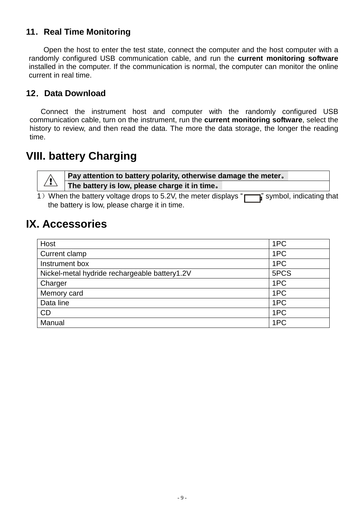#### **11.Real Time Monitoring**

Open the host to enter the test state, connect the computer and the host computer with a randomly configured USB communication cable, and run the **current monitoring software** installed in the computer. If the communication is normal, the computer can monitor the online current in real time.

#### **12.Data Download**

Connect the instrument host and computer with the randomly configured USB communication cable, turn on the instrument, run the **current monitoring software**, select the history to review, and then read the data. The more the data storage, the longer the reading time.

# **VIII. battery Charging**

**Pay attention to battery polarity, otherwise damage the meter。 The battery is low, please charge it in time。**

1) When the battery voltage drops to 5.2V, the meter displays " $\Box$ " symbol, indicating that the battery is low, please charge it in time.

# **IX. Accessories**

′≬∖

| Host                                          | 1PC  |
|-----------------------------------------------|------|
| Current clamp                                 | 1PC  |
| Instrument box                                | 1PC  |
| Nickel-metal hydride rechargeable battery1.2V | 5PCS |
| Charger                                       | 1PC  |
| Memory card                                   | 1PC  |
| Data line                                     | 1PC  |
| CD                                            | 1PC  |
| Manual                                        | 1PC  |